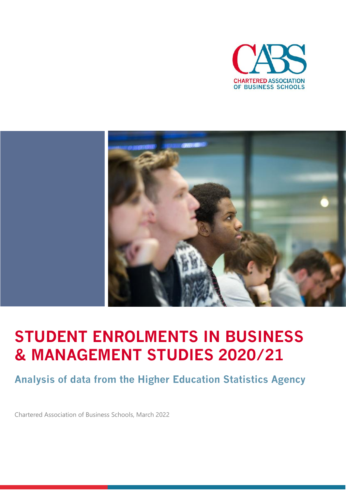



# **STUDENT ENROLMENTS IN BUSINESS & MANAGEMENT STUDIES 2020/21**

**Analysis of data from the Higher Education Statistics Agency**

Chartered Association of Business Schools, March 2022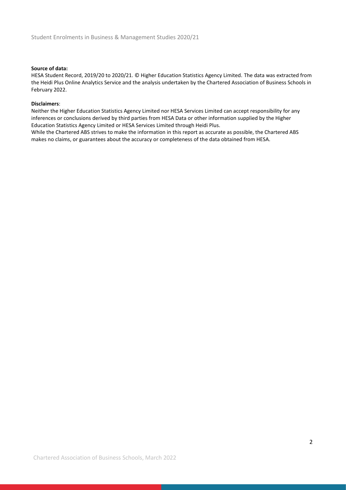#### **Source of data:**

HESA Student Record, 2019/20 to 2020/21. © Higher Education Statistics Agency Limited. The data was extracted from the Heidi Plus Online Analytics Service and the analysis undertaken by the Chartered Association of Business Schools in February 2022.

#### **Disclaimers**:

Neither the Higher Education Statistics Agency Limited nor HESA Services Limited can accept responsibility for any inferences or conclusions derived by third parties from HESA Data or other information supplied by the Higher Education Statistics Agency Limited or HESA Services Limited through Heidi Plus.

While the Chartered ABS strives to make the information in this report as accurate as possible, the Chartered ABS makes no claims, or guarantees about the accuracy or completeness of the data obtained from HESA.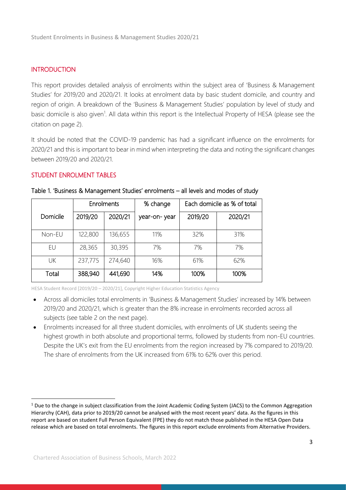## **INTRODUCTION**

This report provides detailed analysis of enrolments within the subject area of 'Business & Management Studies' for 2019/20 and 2020/21. It looks at enrolment data by basic student domicile, and country and region of origin. A breakdown of the 'Business & Management Studies' population by level of study and basic domicile is also given<sup>1</sup>. All data within this report is the Intellectual Property of HESA (please see the citation on page 2).

It should be noted that the COVID-19 pandemic has had a significant influence on the enrolments for 2020/21 and this is important to bear in mind when interpreting the data and noting the significant changes between 2019/20 and 2020/21.

#### STUDENT ENROLMENT TABLES

|          |         | Enrolments | % change     | Each domicile as % of total |         |  |
|----------|---------|------------|--------------|-----------------------------|---------|--|
| Domicile | 2019/20 | 2020/21    | year-on-year | 2019/20                     | 2020/21 |  |
| Non-EU   | 122,800 | 136,655    | 11%          | 32%                         | 31%     |  |
| EU       | 28,365  | 30,395     | 7%           | 7%                          | 7%      |  |
| UK       | 237,775 | 274,640    | 16%          | 61%                         | 62%     |  |
| Total    | 388,940 | 441,690    | 14%          | 100%                        | 100%    |  |

| Table 1. 'Business & Management Studies' enrolments - all levels and modes of study |  |
|-------------------------------------------------------------------------------------|--|
|                                                                                     |  |

- Across all domiciles total enrolments in 'Business & Management Studies' increased by 14% between 2019/20 and 2020/21, which is greater than the 8% increase in enrolments recorded across all subjects (see table 2 on the next page).
- Enrolments increased for all three student domiciles, with enrolments of UK students seeing the highest growth in both absolute and proportional terms, followed by students from non-EU countries. Despite the UK's exit from the EU enrolments from the region increased by 7% compared to 2019/20. The share of enrolments from the UK increased from 61% to 62% over this period.

<sup>&</sup>lt;sup>1</sup> Due to the change in subject classification from the Joint Academic Coding System (JACS) to the Common Aggregation Hierarchy (CAH), data prior to 2019/20 cannot be analysed with the most recent years' data. As the figures in this report are based on student Full Person Equivalent (FPE) they do not match those published in the HESA Open Data release which are based on total enrolments. The figures in this report exclude enrolments from Alternative Providers.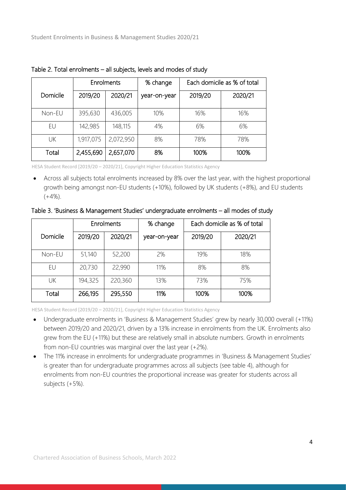|          |           | <b>Enrolments</b> | % change     | Each domicile as % of total |         |  |
|----------|-----------|-------------------|--------------|-----------------------------|---------|--|
| Domicile | 2019/20   | 2020/21           | year-on-year | 2019/20                     | 2020/21 |  |
| Non-EU   | 395,630   | 436,005           | 10%          | 16%                         | 16%     |  |
| EU       | 142,985   | 148,115           | 4%           | 6%                          | 6%      |  |
| UK       | 1,917,075 | 2,072,950         | 8%           | 78%                         | 78%     |  |
| Total    | 2,455,690 | 2,657,070         | 8%           | 100%                        | 100%    |  |

Table 2. Total enrolments – all subjects, levels and modes of study

• Across all subjects total enrolments increased by 8% over the last year, with the highest proportional growth being amongst non-EU students (+10%), followed by UK students (+8%), and EU students  $(+4%)$ .

#### Table 3. 'Business & Management Studies' undergraduate enrolments – all modes of study

|          | Enrolments |         | % change     | Each domicile as % of total |         |  |
|----------|------------|---------|--------------|-----------------------------|---------|--|
| Domicile | 2019/20    | 2020/21 | year-on-year | 2019/20                     | 2020/21 |  |
| Non-EU   | 51,140     | 52,200  | 2%           | 19%                         | 18%     |  |
| EU       | 20,730     | 22,990  | 11%          | 8%                          | 8%      |  |
| UK       | 194,325    | 220,360 | 13%          | 73%                         | 75%     |  |
| Total    | 266,195    | 295,550 | 11%          | 100%                        | 100%    |  |

- Undergraduate enrolments in 'Business & Management Studies' grew by nearly 30,000 overall (+11%) between 2019/20 and 2020/21, driven by a 13% increase in enrolments from the UK. Enrolments also grew from the EU (+11%) but these are relatively small in absolute numbers. Growth in enrolments from non-EU countries was marginal over the last year (+2%).
- The 11% increase in enrolments for undergraduate programmes in 'Business & Management Studies' is greater than for undergraduate programmes across all subjects (see table 4), although for enrolments from non-EU countries the proportional increase was greater for students across all subjects (+5%).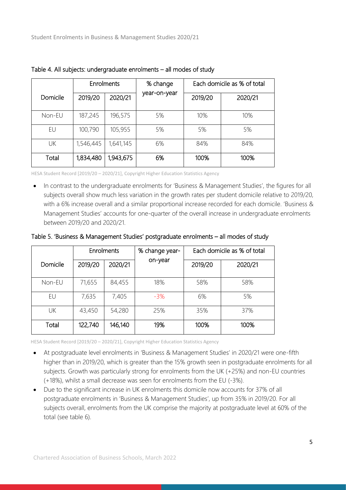|          |           | % change<br>Enrolments |              | Each domicile as % of total |         |  |
|----------|-----------|------------------------|--------------|-----------------------------|---------|--|
| Domicile | 2019/20   | 2020/21                | year-on-year | 2019/20                     | 2020/21 |  |
| Non-EU   | 187,245   | 196,575                | 5%           | 10%                         | 10%     |  |
| EU       | 100,790   | 105,955                | 5%           | 5%                          | 5%      |  |
| UK       | 1,546,445 | 1,641,145              | 6%           | 84%                         | 84%     |  |
| Total    | 1,834,480 | 1,943,675              | 6%           | 100%                        | 100%    |  |

Table 4. All subjects: undergraduate enrolments – all modes of study

• In contrast to the undergraduate enrolments for 'Business & Management Studies', the figures for all subjects overall show much less variation in the growth rates per student domicile relative to 2019/20, with a 6% increase overall and a similar proportional increase recorded for each domicile. 'Business & Management Studies' accounts for one-quarter of the overall increase in undergraduate enrolments between 2019/20 and 2020/21.

Table 5. 'Business & Management Studies' postgraduate enrolments – all modes of study

|          |         | Enrolments | % change year- |         | Each domicile as % of total |
|----------|---------|------------|----------------|---------|-----------------------------|
| Domicile | 2019/20 | 2020/21    | on-year        | 2019/20 | 2020/21                     |
| Non-EU   | 71,655  | 84,455     | 18%            | 58%     | 58%                         |
| EU       | 7,635   | 7,405      | $-3\%$         | 6%      | 5%                          |
| UK       | 43,450  | 54,280     | 25%            | 35%     | 37%                         |
| Total    | 122,740 | 146,140    | 19%            | 100%    | 100%                        |

- At postgraduate level enrolments in 'Business & Management Studies' in 2020/21 were one-fifth higher than in 2019/20, which is greater than the 15% growth seen in postgraduate enrolments for all subjects. Growth was particularly strong for enrolments from the UK (+25%) and non-EU countries (+18%), whilst a small decrease was seen for enrolments from the EU (-3%).
- Due to the significant increase in UK enrolments this domicile now accounts for 37% of all postgraduate enrolments in 'Business & Management Studies', up from 35% in 2019/20. For all subjects overall, enrolments from the UK comprise the majority at postgraduate level at 60% of the total (see table 6).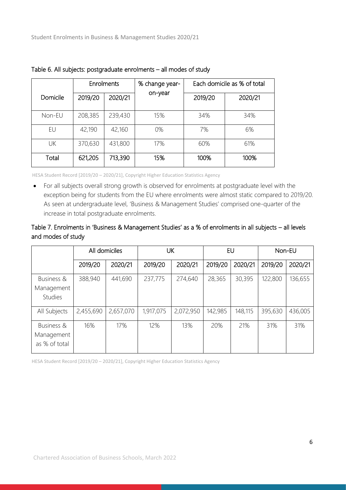|          | <b>Enrolments</b> |         | % change year- |         | Each domicile as % of total |  |  |
|----------|-------------------|---------|----------------|---------|-----------------------------|--|--|
| Domicile | 2019/20           | 2020/21 | on-year        | 2019/20 | 2020/21                     |  |  |
| Non-EU   | 208,385           | 239,430 | 15%            | 34%     | 34%                         |  |  |
| EU       | 42,190            | 42,160  | 0%             | 7%      | 6%                          |  |  |
| UK       | 370,630           | 431,800 | 17%            | 60%     | 61%                         |  |  |
| Total    | 621,205           | 713,390 | 15%            | 100%    | 100%                        |  |  |

Table 6. All subjects: postgraduate enrolments – all modes of study

• For all subjects overall strong growth is observed for enrolments at postgraduate level with the exception being for students from the EU where enrolments were almost static compared to 2019/20. As seen at undergraduate level, 'Business & Management Studies' comprised one-quarter of the increase in total postgraduate enrolments.

## Table 7. Enrolments in 'Business & Management Studies' as a % of enrolments in all subjects – all levels and modes of study

|                                            | All domiciles |           | UK        |           | EU      |         | Non-EU  |         |
|--------------------------------------------|---------------|-----------|-----------|-----------|---------|---------|---------|---------|
|                                            | 2019/20       | 2020/21   | 2019/20   | 2020/21   | 2019/20 | 2020/21 | 2019/20 | 2020/21 |
| Business &<br>Management<br><b>Studies</b> | 388,940       | 441,690   | 237,775   | 274,640   | 28,365  | 30,395  | 122,800 | 136,655 |
| All Subjects                               | 2,455,690     | 2,657,070 | 1,917,075 | 2,072,950 | 142,985 | 148,115 | 395,630 | 436,005 |
| Business &<br>Management<br>as % of total  | 16%           | 17%       | 12%       | 13%       | 20%     | 21%     | 31%     | 31%     |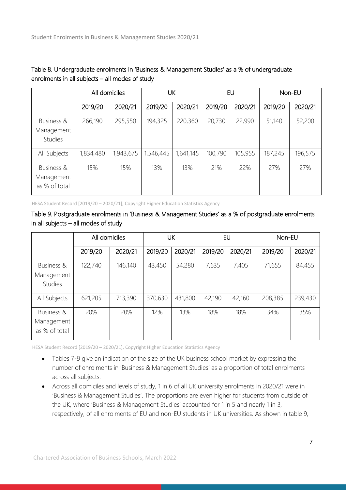|                                            | All domiciles |           | UK        |           | EU      |         | Non-EU  |         |
|--------------------------------------------|---------------|-----------|-----------|-----------|---------|---------|---------|---------|
|                                            | 2019/20       | 2020/21   | 2019/20   | 2020/21   | 2019/20 | 2020/21 | 2019/20 | 2020/21 |
| Business &<br>Management<br><b>Studies</b> | 266,190       | 295,550   | 194,325   | 220,360   | 20,730  | 22,990  | 51,140  | 52,200  |
| All Subjects                               | 1,834,480     | 1,943,675 | 1,546,445 | 1,641,145 | 100,790 | 105,955 | 187,245 | 196,575 |
| Business &<br>Management<br>as % of total  | 15%           | 15%       | 13%       | 13%       | 21%     | 22%     | 27%     | 27%     |

## Table 8. Undergraduate enrolments in 'Business & Management Studies' as a % of undergraduate enrolments in all subjects – all modes of study

HESA Student Record [2019/20 – 2020/21], Copyright Higher Education Statistics Agency

## Table 9. Postgraduate enrolments in 'Business & Management Studies' as a % of postgraduate enrolments in all subjects – all modes of study

|                                            | All domiciles |         | UK      |         | EU      |         | Non-EU  |         |
|--------------------------------------------|---------------|---------|---------|---------|---------|---------|---------|---------|
|                                            | 2019/20       | 2020/21 | 2019/20 | 2020/21 | 2019/20 | 2020/21 | 2019/20 | 2020/21 |
| Business &<br>Management<br><b>Studies</b> | 122,740       | 146,140 | 43,450  | 54,280  | 7,635   | 7,405   | 71,655  | 84,455  |
| All Subjects                               | 621,205       | 713,390 | 370,630 | 431,800 | 42,190  | 42,160  | 208,385 | 239,430 |
| Business &<br>Management<br>as % of total  | 20%           | 20%     | 12%     | 13%     | 18%     | 18%     | 34%     | 35%     |

- Tables 7-9 give an indication of the size of the UK business school market by expressing the number of enrolments in 'Business & Management Studies' as a proportion of total enrolments across all subjects.
	- Across all domiciles and levels of study, 1 in 6 of all UK university enrolments in 2020/21 were in 'Business & Management Studies'. The proportions are even higher for students from outside of the UK, where 'Business & Management Studies' accounted for 1 in 5 and nearly 1 in 3, respectively, of all enrolments of EU and non-EU students in UK universities. As shown in table 9,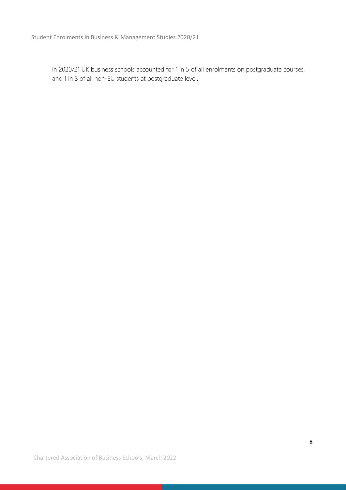in 2020/21 UK business schools accounted for 1 in 5 of all enrolments on postgraduate courses, and 1 in 3 of all non-EU students at postgraduate level.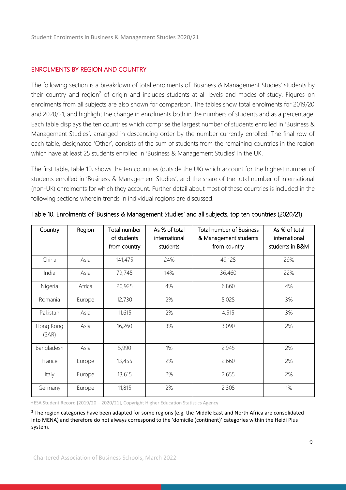## ENROLMENTS BY REGION AND COUNTRY

The following section is a breakdown of total enrolments of 'Business & Management Studies' students by their country and region<sup>2</sup> of origin and includes students at all levels and modes of study. Figures on enrolments from all subjects are also shown for comparison. The tables show total enrolments for 2019/20 and 2020/21, and highlight the change in enrolments both in the numbers of students and as a percentage. Each table displays the ten countries which comprise the largest number of students enrolled in 'Business & Management Studies', arranged in descending order by the number currently enrolled. The final row of each table, designated 'Other', consists of the sum of students from the remaining countries in the region which have at least 25 students enrolled in 'Business & Management Studies' in the UK.

The first table, table 10, shows the ten countries (outside the UK) which account for the highest number of students enrolled in 'Business & Management Studies', and the share of the total number of international (non-UK) enrolments for which they account. Further detail about most of these countries is included in the following sections wherein trends in individual regions are discussed.

| Country            | Region | Total number<br>of students<br>from country | As % of total<br>international<br>students | <b>Total number of Business</b><br>& Management students<br>from country | As % of total<br>international<br>students in B&M |
|--------------------|--------|---------------------------------------------|--------------------------------------------|--------------------------------------------------------------------------|---------------------------------------------------|
| China              | Asia   | 141,475                                     | 24%                                        | 49,125                                                                   | 29%                                               |
| India              | Asia   | 79,745                                      | 14%                                        | 36,460                                                                   | 22%                                               |
| Nigeria            | Africa | 20,925                                      | 4%                                         | 6,860                                                                    | 4%                                                |
| Romania            | Europe | 12,730                                      | 2%                                         | 5,025                                                                    | 3%                                                |
| Pakistan           | Asia   | 11,615                                      | 2%                                         | 4,515                                                                    | 3%                                                |
| Hong Kong<br>(SAR) | Asia   | 16,260                                      | 3%                                         | 3,090                                                                    | 2%                                                |
| Bangladesh         | Asia   | 5,990                                       | 1%                                         | 2,945                                                                    | 2%                                                |
| France             | Europe | 13,455                                      | 2%                                         | 2,660                                                                    | 2%                                                |
| Italy              | Europe | 13,615                                      | 2%                                         | 2,655                                                                    | 2%                                                |
| Germany            | Europe | 11,815                                      | 2%                                         | 2,305                                                                    | 1%                                                |

Table 10. Enrolments of 'Business & Management Studies' and all subjects, top ten countries (2020/21)

HESA Student Record [2019/20 – 2020/21], Copyright Higher Education Statistics Agency

 $2$  The region categories have been adapted for some regions (e.g. the Middle East and North Africa are consolidated into MENA) and therefore do not always correspond to the 'domicile (continent)' categories within the Heidi Plus system.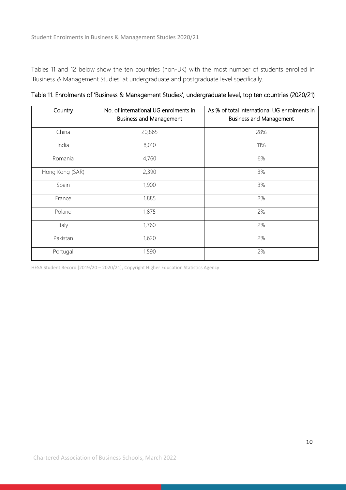Tables 11 and 12 below show the ten countries (non-UK) with the most number of students enrolled in 'Business & Management Studies' at undergraduate and postgraduate level specifically.

| Country         | No. of international UG enrolments in<br><b>Business and Management</b> | As % of total international UG enrolments in<br><b>Business and Management</b> |
|-----------------|-------------------------------------------------------------------------|--------------------------------------------------------------------------------|
| China           | 20,865                                                                  | 28%                                                                            |
| India           | 8,010                                                                   | 11%                                                                            |
| Romania         | 4,760                                                                   | 6%                                                                             |
| Hong Kong (SAR) | 2,390                                                                   | 3%                                                                             |
| Spain           | 1,900                                                                   | 3%                                                                             |
| France          | 1,885                                                                   | 2%                                                                             |
| Poland          | 1,875                                                                   | 2%                                                                             |
| Italy           | 1,760                                                                   | 2%                                                                             |
| Pakistan        | 1,620                                                                   | 2%                                                                             |
| Portugal        | 1,590                                                                   | 2%                                                                             |

Table 11. Enrolments of 'Business & Management Studies', undergraduate level, top ten countries (2020/21)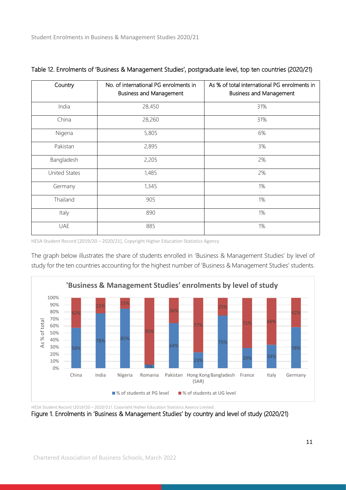| Country       | No. of international PG enrolments in<br><b>Business and Management</b> | As % of total international PG enrolments in<br><b>Business and Management</b> |
|---------------|-------------------------------------------------------------------------|--------------------------------------------------------------------------------|
| India         | 28,450                                                                  | 31%                                                                            |
| China         | 28,260                                                                  | 31%                                                                            |
| Nigeria       | 5,805                                                                   | 6%                                                                             |
| Pakistan      | 2,895                                                                   | 3%                                                                             |
| Bangladesh    | 2,205                                                                   | 2%                                                                             |
| United States | 1,485                                                                   | 2%                                                                             |
| Germany       | 1,345                                                                   | 1%                                                                             |
| Thailand      | 905                                                                     | 1%                                                                             |
| Italy         | 890                                                                     | 1%                                                                             |
| <b>UAE</b>    | 885                                                                     | 1%                                                                             |

#### Table 12. Enrolments of 'Business & Management Studies', postgraduate level, top ten countries (2020/21)

HESA Student Record [2019/20 – 2020/21], Copyright Higher Education Statistics Agency

The graph below illustrates the share of students enrolled in 'Business & Management Studies' by level of study for the ten countries accounting for the highest number of 'Business & Management Studies' students.



Figure 1. Enrolments in 'Business & Management Studies' by country and level of study (2020/21)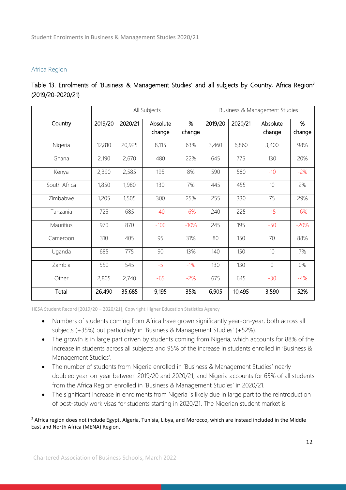#### Africa Region

|                   |  | Table 13. Enrolments of 'Business & Management Studies' and all subjects by Country, Africa Region <sup>3</sup> |  |  |  |  |
|-------------------|--|-----------------------------------------------------------------------------------------------------------------|--|--|--|--|
| (2019/20-2020/21) |  |                                                                                                                 |  |  |  |  |

|              |         |         | All Subjects       |             |         |         | Business & Management Studies |             |
|--------------|---------|---------|--------------------|-------------|---------|---------|-------------------------------|-------------|
| Country      | 2019/20 | 2020/21 | Absolute<br>change | %<br>change | 2019/20 | 2020/21 | Absolute<br>change            | %<br>change |
| Nigeria      | 12,810  | 20,925  | 8,115              | 63%         | 3,460   | 6,860   | 3,400                         | 98%         |
| Ghana        | 2,190   | 2,670   | 480                | 22%         | 645     | 775     | 130                           | 20%         |
| Kenya        | 2,390   | 2,585   | 195                | 8%          | 590     | 580     | $-10$                         | $-2%$       |
| South Africa | 1,850   | 1,980   | 130                | 7%          | 445     | 455     | 10                            | 2%          |
| Zimbabwe     | 1,205   | 1,505   | 300                | 25%         | 255     | 330     | 75                            | 29%         |
| Tanzania     | 725     | 685     | $-40$              | $-6%$       | 240     | 225     | $-15$                         | $-6%$       |
| Mauritius    | 970     | 870     | $-100$             | $-10%$      | 245     | 195     | $-50$                         | $-20%$      |
| Cameroon     | 310     | 405     | 95                 | 31%         | 80      | 150     | 70                            | 88%         |
| Uganda       | 685     | 775     | 90                 | 13%         | 140     | 150     | 10                            | 7%          |
| Zambia       | 550     | 545     | $-5$               | $-1%$       | 130     | 130     | $\sqrt{a}$                    | 0%          |
| Other        | 2,805   | 2,740   | $-65$              | $-2%$       | 675     | 645     | $-30$                         | $-4%$       |
| Total        | 26,490  | 35,685  | 9,195              | 35%         | 6,905   | 10,495  | 3,590                         | 52%         |

- Numbers of students coming from Africa have grown significantly year-on-year, both across all subjects (+35%) but particularly in 'Business & Management Studies' (+52%).
	- The growth is in large part driven by students coming from Nigeria, which accounts for 88% of the increase in students across all subjects and 95% of the increase in students enrolled in 'Business & Management Studies'.
	- The number of students from Nigeria enrolled in 'Business & Management Studies' nearly doubled year-on-year between 2019/20 and 2020/21, and Nigeria accounts for 65% of all students from the Africa Region enrolled in 'Business & Management Studies' in 2020/21.
	- The significant increase in enrolments from Nigeria is likely due in large part to the reintroduction of post-study work visas for students starting in 2020/21. The Nigerian student market is

<sup>&</sup>lt;sup>3</sup> Africa region does not include Egypt, Algeria, Tunisia, Libya, and Morocco, which are instead included in the Middle East and North Africa (MENA) Region.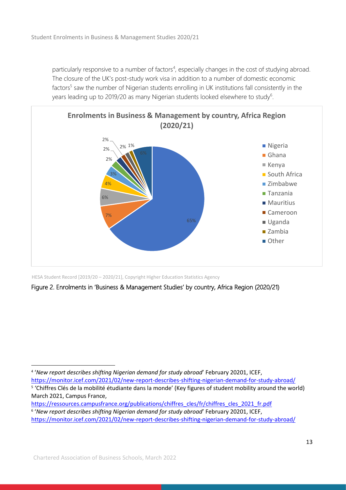particularly responsive to a number of factors<sup>4</sup>, especially changes in the cost of studying abroad. The closure of the UK's post-study work visa in addition to a number of domestic economic factors<sup>5</sup> saw the number of Nigerian students enrolling in UK institutions fall consistently in the years leading up to 2019/20 as many Nigerian students looked elsewhere to study<sup>6</sup>.



HESA Student Record [2019/20 – 2020/21], Copyright Higher Education Statistics Agency

Figure 2. Enrolments in 'Business & Management Studies' by country, Africa Region (2020/21)

<sup>4</sup> '*New report describes shifting Nigerian demand for study abroad*' February 20201, ICEF, <https://monitor.icef.com/2021/02/new-report-describes-shifting-nigerian-demand-for-study-abroad/>

<sup>&</sup>lt;sup>5</sup> 'Chiffres Clés de la mobilité étudiante dans la monde' (Key figures of student mobility around the world) March 2021, Campus France,

[https://ressources.campusfrance.org/publications/chiffres\\_cles/fr/chiffres\\_cles\\_2021\\_fr.pdf](https://ressources.campusfrance.org/publications/chiffres_cles/fr/chiffres_cles_2021_fr.pdf) 6 '*New report describes shifting Nigerian demand for study abroad*' February 20201, ICEF,

<https://monitor.icef.com/2021/02/new-report-describes-shifting-nigerian-demand-for-study-abroad/>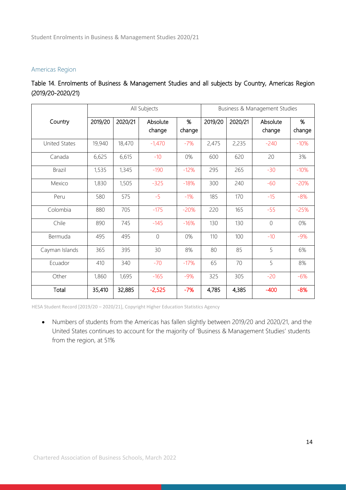#### Americas Region

|                   |  | Table 14. Enrolments of Business & Management Studies and all subjects by Country, Americas Region |  |  |  |  |
|-------------------|--|----------------------------------------------------------------------------------------------------|--|--|--|--|
| (2019/20-2020/21) |  |                                                                                                    |  |  |  |  |

|                |         |         | All Subjects<br>Business & Management Studies |             |         |         |                    |             |
|----------------|---------|---------|-----------------------------------------------|-------------|---------|---------|--------------------|-------------|
| Country        | 2019/20 | 2020/21 | Absolute<br>change                            | %<br>change | 2019/20 | 2020/21 | Absolute<br>change | %<br>change |
| United States  | 19,940  | 18,470  | $-1,470$                                      | $-7%$       | 2,475   | 2,235   | $-240$             | $-10%$      |
| Canada         | 6,625   | 6,615   | $-10$                                         | 0%          | 600     | 620     | 20                 | 3%          |
| <b>Brazil</b>  | 1,535   | 1,345   | $-190$                                        | $-12%$      | 295     | 265     | $-30$              | $-10%$      |
| Mexico         | 1,830   | 1,505   | $-325$                                        | $-18%$      | 300     | 240     | $-60$              | $-20%$      |
| Peru           | 580     | 575     | $-5$                                          | $-1%$       | 185     | 170     | $-15$              | $-8%$       |
| Colombia       | 880     | 705     | $-175$                                        | $-20%$      | 220     | 165     | $-55$              | $-25%$      |
| Chile          | 890     | 745     | $-145$                                        | $-16%$      | 130     | 130     | $\overline{0}$     | 0%          |
| Bermuda        | 495     | 495     | $\overline{0}$                                | 0%          | 110     | 100     | $-10$              | $-9%$       |
| Cayman Islands | 365     | 395     | 30                                            | 8%          | 80      | 85      | 5                  | 6%          |
| Ecuador        | 410     | 340     | $-70$                                         | $-17%$      | 65      | 70      | 5                  | 8%          |
| Other          | 1,860   | 1,695   | $-165$                                        | $-9%$       | 325     | 305     | $-20$              | $-6%$       |
| Total          | 35,410  | 32,885  | $-2,525$                                      | $-7%$       | 4,785   | 4,385   | $-400$             | $-8%$       |

HESA Student Record [2019/20 – 2020/21], Copyright Higher Education Statistics Agency

• Numbers of students from the Americas has fallen slightly between 2019/20 and 2020/21, and the United States continues to account for the majority of 'Business & Management Studies' students from the region, at 51%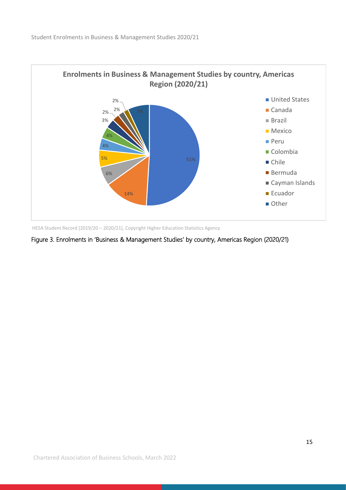

Figure 3. Enrolments in 'Business & Management Studies' by country, Americas Region (2020/21)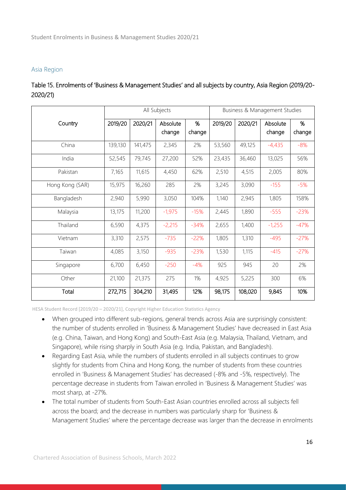#### Asia Region

|          | Table 15. Enrolments of 'Business & Management Studies' and all subjects by country, Asia Region (2019/20- |  |  |  |  |
|----------|------------------------------------------------------------------------------------------------------------|--|--|--|--|
| 2020/21) |                                                                                                            |  |  |  |  |

|                 |         |         | All Subjects |        | Business & Management Studies |         |          |        |  |
|-----------------|---------|---------|--------------|--------|-------------------------------|---------|----------|--------|--|
| Country         | 2019/20 | 2020/21 | Absolute     | %      | 2019/20                       | 2020/21 | Absolute | %      |  |
|                 |         |         | change       | change |                               |         | change   | change |  |
| China           | 139,130 | 141,475 | 2,345        | 2%     | 53,560                        | 49,125  | $-4,435$ | $-8%$  |  |
| India           | 52,545  | 79,745  | 27,200       | 52%    | 23,435                        | 36,460  | 13,025   | 56%    |  |
| Pakistan        | 7,165   | 11,615  | 4,450        | 62%    | 2,510                         | 4,515   | 2,005    | 80%    |  |
| Hong Kong (SAR) | 15,975  | 16,260  | 285          | 2%     | 3,245                         | 3,090   | $-155$   | $-5%$  |  |
| Bangladesh      | 2,940   | 5,990   | 3,050        | 104%   | 1,140                         | 2,945   | 1,805    | 158%   |  |
| Malaysia        | 13,175  | 11,200  | $-1,975$     | $-15%$ | 2,445                         | 1,890   | $-555$   | $-23%$ |  |
| Thailand        | 6,590   | 4,375   | $-2,215$     | $-34%$ | 2,655                         | 1,400   | $-1,255$ | $-47%$ |  |
| Vietnam         | 3,310   | 2,575   | $-735$       | $-22%$ | 1,805                         | 1,310   | $-495$   | $-27%$ |  |
| Taiwan          | 4,085   | 3,150   | $-935$       | $-23%$ | 1,530                         | 1,115   | $-415$   | $-27%$ |  |
| Singapore       | 6,700   | 6,450   | $-250$       | $-4%$  | 925                           | 945     | 20       | 2%     |  |
| Other           | 21,100  | 21,375  | 275          | 1%     | 4,925                         | 5,225   | 300      | 6%     |  |
| Total           | 272,715 | 304,210 | 31,495       | 12%    | 98,175                        | 108,020 | 9,845    | 10%    |  |

- When grouped into different sub-regions, general trends across Asia are surprisingly consistent: the number of students enrolled in 'Business & Management Studies' have decreased in East Asia (e.g. China, Taiwan, and Hong Kong) and South-East Asia (e.g. Malaysia, Thailand, Vietnam, and Singapore), while rising sharply in South Asia (e.g. India, Pakistan, and Bangladesh).
	- Regarding East Asia, while the numbers of students enrolled in all subjects continues to grow slightly for students from China and Hong Kong, the number of students from these countries enrolled in 'Business & Management Studies' has decreased (-8% and -5%, respectively). The percentage decrease in students from Taiwan enrolled in 'Business & Management Studies' was most sharp, at -27%.
	- The total number of students from South-East Asian countries enrolled across all subjects fell across the board; and the decrease in numbers was particularly sharp for 'Business & Management Studies' where the percentage decrease was larger than the decrease in enrolments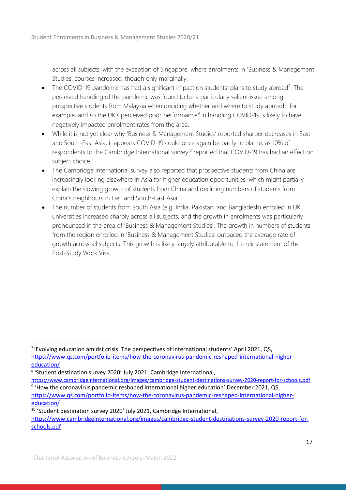across all subjects, with the exception of Singapore, where enrolments in 'Business & Management Studies' courses increased, though only marginally.

- The COVID-19 pandemic has had a significant impact on students' plans to study abroad<sup>7</sup>. The perceived handling of the pandemic was found to be a particularly salient issue among prospective students from Malaysia when deciding whether and where to study abroad<sup>8</sup>, for example, and so the UK's perceived poor performance<sup>9</sup> in handling COVID-19 is likely to have negatively impacted enrolment rates from the area.
- While it is not yet clear why 'Business & Management Studies' reported sharper decreases in East and South-East Asia, it appears COVID-19 could once again be partly to blame, as 10% of respondents to the Cambridge International survey<sup>10</sup> reported that COVID-19 has had an effect on subject choice.
- The Cambridge International survey also reported that prospective students from China are increasingly looking elsewhere in Asia for higher education opportunities, which might partially explain the slowing growth of students from China and declining numbers of students from China's neighbours in East and South-East Asia.
- The number of students from South Asia (e.g. India, Pakistan, and Bangladesh) enrolled in UK universities increased sharply across all subjects, and the growth in enrolments was particularly pronounced in the area of 'Business & Management Studies'. The growth in numbers of students from the region enrolled in 'Business & Management Studies' outpaced the average rate of growth across all subjects. This growth is likely largely attributable to the reinstatement of the Post-Study Work Visa.

<sup>&</sup>lt;sup>7</sup> 'Evolving education amidst crisis: The perspectives of international students' April 2021, QS, [https://www.qs.com/portfolio-items/how-the-coronavirus-pandemic-reshaped-international-higher](https://www.qs.com/portfolio-items/how-the-coronavirus-pandemic-reshaped-international-higher-education/)[education/](https://www.qs.com/portfolio-items/how-the-coronavirus-pandemic-reshaped-international-higher-education/)

<sup>8</sup> 'Student destination survey 2020' July 2021, Cambridge International,

<https://www.cambridgeinternational.org/images/cambridge-student-destinations-survey-2020-report-for-schools.pdf> <sup>9</sup> 'How the coronavirus pandemic reshaped international higher education' December 2021, QS, [https://www.qs.com/portfolio-items/how-the-coronavirus-pandemic-reshaped-international-higher](https://www.qs.com/portfolio-items/how-the-coronavirus-pandemic-reshaped-international-higher-education/)[education/](https://www.qs.com/portfolio-items/how-the-coronavirus-pandemic-reshaped-international-higher-education/)

<sup>10</sup> 'Student destination survey 2020' July 2021, Cambridge International,

[https://www.cambridgeinternational.org/images/cambridge-student-destinations-survey-2020-report-for](https://www.cambridgeinternational.org/images/cambridge-student-destinations-survey-2020-report-for-schools.pdf)[schools.pdf](https://www.cambridgeinternational.org/images/cambridge-student-destinations-survey-2020-report-for-schools.pdf)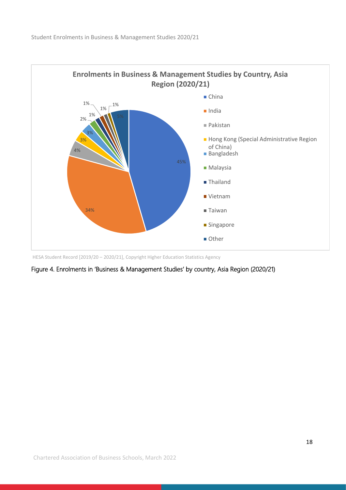

HESA Student Record [2019/20 – 2020/21], Copyright Higher Education Statistics Agency

Figure 4. Enrolments in 'Business & Management Studies' by country, Asia Region (2020/21)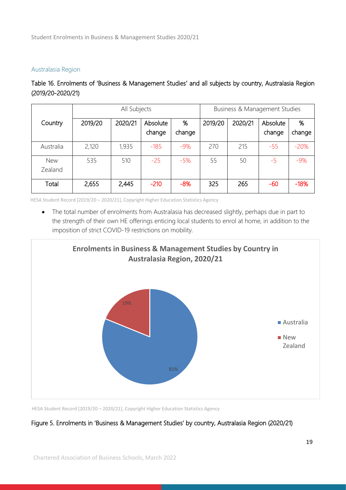#### Australasia Region

Table 16. Enrolments of 'Business & Management Studies' and all subjects by country, Australasia Region (2019/20-2020/21)

|                       |         | Business & Management Studies |                    |             |         |         |                    |             |
|-----------------------|---------|-------------------------------|--------------------|-------------|---------|---------|--------------------|-------------|
| Country               | 2019/20 | 2020/21                       | Absolute<br>change | %<br>change | 2019/20 | 2020/21 | Absolute<br>change | %<br>change |
| Australia             | 2,120   | 1,935                         | $-185$             | $-9%$       | 270     | 215     | $-55$              | $-20%$      |
| <b>New</b><br>Zealand | 535     | 510                           | $-25$              | $-5%$       | 55      | 50      | $-5$               | $-9%$       |
| Total                 | 2,655   | 2,445                         | $-210$             | $-8%$       | 325     | 265     | $-60$              | $-18%$      |

HESA Student Record [2019/20 – 2020/21], Copyright Higher Education Statistics Agency

• The total number of enrolments from Australasia has decreased slightly, perhaps due in part to the strength of their own HE offerings enticing local students to enrol at home, in addition to the imposition of strict COVID-19 restrictions on mobility.



HESA Student Record [2019/20 – 2020/21], Copyright Higher Education Statistics Agency

#### Figure 5. Enrolments in 'Business & Management Studies' by country, Australasia Region (2020/21)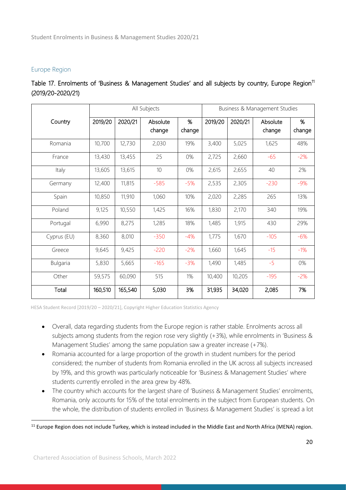## Europe Region

|                   |  | Table 17. Enrolments of 'Business & Management Studies' and all subjects by country, Europe Region <sup>11</sup> |  |  |  |  |
|-------------------|--|------------------------------------------------------------------------------------------------------------------|--|--|--|--|
| (2019/20-2020/21) |  |                                                                                                                  |  |  |  |  |

|             |         |         | All Subjects |        |         |         | Business & Management Studies |        |
|-------------|---------|---------|--------------|--------|---------|---------|-------------------------------|--------|
| Country     | 2019/20 | 2020/21 | Absolute     | %      | 2019/20 | 2020/21 | Absolute                      | %      |
|             |         |         | change       | change |         |         | change                        | change |
| Romania     | 10,700  | 12,730  | 2,030        | 19%    | 3,400   | 5,025   | 1,625                         | 48%    |
| France      | 13,430  | 13,455  | 25           | 0%     | 2,725   | 2,660   | $-65$                         | $-2%$  |
| Italy       | 13,605  | 13,615  | 10           | 0%     | 2,615   | 2,655   | 40                            | 2%     |
| Germany     | 12,400  | 11,815  | $-585$       | $-5%$  | 2,535   | 2,305   | $-230$                        | $-9%$  |
| Spain       | 10,850  | 11,910  | 1,060        | 10%    | 2,020   | 2,285   | 265                           | 13%    |
| Poland      | 9,125   | 10,550  | 1,425        | 16%    | 1,830   | 2,170   | 340                           | 19%    |
| Portugal    | 6,990   | 8,275   | 1,285        | 18%    | 1,485   | 1,915   | 430                           | 29%    |
| Cyprus (EU) | 8,360   | 8,010   | $-350$       | $-4%$  | 1,775   | 1,670   | $-105$                        | $-6%$  |
| Greece      | 9,645   | 9,425   | $-220$       | $-2%$  | 1,660   | 1,645   | $-15$                         | $-1\%$ |
| Bulgaria    | 5,830   | 5,665   | $-165$       | $-3%$  | 1,490   | 1,485   | $-5$                          | 0%     |
| Other       | 59,575  | 60,090  | 515          | 1%     | 10,400  | 10,205  | $-195$                        | $-2%$  |
| Total       | 160,510 | 165,540 | 5,030        | 3%     | 31,935  | 34,020  | 2,085                         | 7%     |

- Overall, data regarding students from the Europe region is rather stable. Enrolments across all subjects among students from the region rose very slightly (+3%), while enrolments in 'Business & Management Studies' among the same population saw a greater increase (+7%).
- Romania accounted for a large proportion of the growth in student numbers for the period considered; the number of students from Romania enrolled in the UK across all subjects increased by 19%, and this growth was particularly noticeable for 'Business & Management Studies' where students currently enrolled in the area grew by 48%.
- The country which accounts for the largest share of 'Business & Management Studies' enrolments, Romania, only accounts for 15% of the total enrolments in the subject from European students. On the whole, the distribution of students enrolled in 'Business & Management Studies' is spread a lot

<sup>&</sup>lt;sup>11</sup> Europe Region does not include Turkey, which is instead included in the Middle East and North Africa (MENA) region.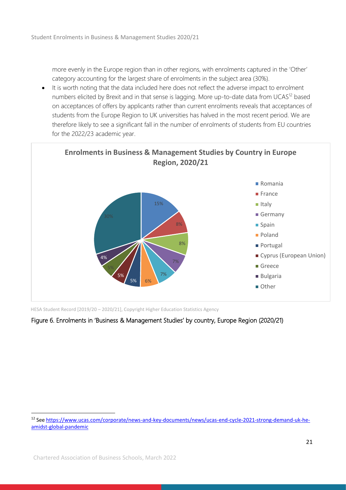more evenly in the Europe region than in other regions, with enrolments captured in the 'Other' category accounting for the largest share of enrolments in the subject area (30%).

• It is worth noting that the data included here does not reflect the adverse impact to enrolment numbers elicited by Brexit and in that sense is lagging. More up-to-date data from UCAS<sup>12</sup> based on acceptances of offers by applicants rather than current enrolments reveals that acceptances of students from the Europe Region to UK universities has halved in the most recent period. We are therefore likely to see a significant fall in the number of enrolments of students from EU countries for the 2022/23 academic year.



HESA Student Record [2019/20 – 2020/21], Copyright Higher Education Statistics Agency

# Figure 6. Enrolments in 'Business & Management Studies' by country, Europe Region (2020/21)

<sup>12</sup> Se[e https://www.ucas.com/corporate/news-and-key-documents/news/ucas-end-cycle-2021-strong-demand-uk-he](https://www.ucas.com/corporate/news-and-key-documents/news/ucas-end-cycle-2021-strong-demand-uk-he-amidst-global-pandemic)[amidst-global-pandemic](https://www.ucas.com/corporate/news-and-key-documents/news/ucas-end-cycle-2021-strong-demand-uk-he-amidst-global-pandemic)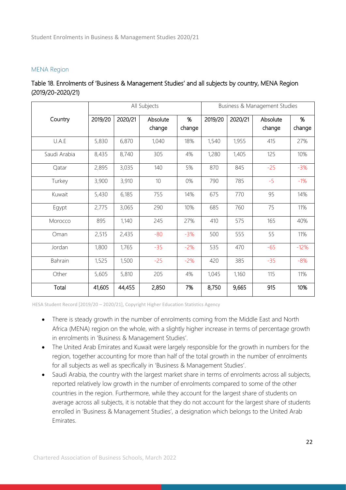#### MENA Region

| Table 18. Enrolments of 'Business & Management Studies' and all subjects by country, MENA Region |  |  |
|--------------------------------------------------------------------------------------------------|--|--|
| (2019/20-2020/21)                                                                                |  |  |

|              |         |         | All Subjects       |             | Business & Management Studies |         |                    |             |  |  |
|--------------|---------|---------|--------------------|-------------|-------------------------------|---------|--------------------|-------------|--|--|
| Country      | 2019/20 | 2020/21 | Absolute<br>change | %<br>change | 2019/20                       | 2020/21 | Absolute<br>change | %<br>change |  |  |
| U.A.E        | 5,830   | 6,870   | 1,040              | 18%         | 1,540                         | 1,955   | 415                | 27%         |  |  |
| Saudi Arabia | 8,435   | 8,740   | 305                | 4%          | 1,280                         | 1,405   | 125                | 10%         |  |  |
| Qatar        | 2,895   | 3,035   | 140                | 5%          | 870                           | 845     | $-25$              | $-3%$       |  |  |
| Turkey       | 3,900   | 3,910   | 10                 | 0%          | 790                           | 785     | $-5$               | $-1%$       |  |  |
| Kuwait       | 5,430   | 6,185   | 755                | 14%         | 675                           | 770     | 95                 | 14%         |  |  |
| Egypt        | 2,775   | 3,065   | 290                | 10%         | 685                           | 760     | 75                 | 11%         |  |  |
| Morocco      | 895     | 1,140   | 245                | 27%         | 410                           | 575     | 165                | 40%         |  |  |
| Oman         | 2,515   | 2,435   | $-80$              | $-3%$       | 500                           | 555     | 55                 | 11%         |  |  |
| Jordan       | 1,800   | 1,765   | $-35$              | $-2%$       | 535                           | 470     | $-65$              | $-12%$      |  |  |
| Bahrain      | 1,525   | 1,500   | $-25$              | $-2%$       | 420                           | 385     | $-35$              | $-8%$       |  |  |
| Other        | 5,605   | 5,810   | 205                | 4%          | 1,045                         | 1,160   | 115                | 11%         |  |  |
| Total        | 41,605  | 44,455  | 2,850              | 7%          | 8,750                         | 9,665   | 915                | 10%         |  |  |

- There is steady growth in the number of enrolments coming from the Middle East and North Africa (MENA) region on the whole, with a slightly higher increase in terms of percentage growth in enrolments in 'Business & Management Studies'.
- The United Arab Emirates and Kuwait were largely responsible for the growth in numbers for the region, together accounting for more than half of the total growth in the number of enrolments for all subjects as well as specifically in 'Business & Management Studies'.
- Saudi Arabia, the country with the largest market share in terms of enrolments across all subjects, reported relatively low growth in the number of enrolments compared to some of the other countries in the region. Furthermore, while they account for the largest share of students on average across all subjects, it is notable that they do not account for the largest share of students enrolled in 'Business & Management Studies', a designation which belongs to the United Arab Emirates.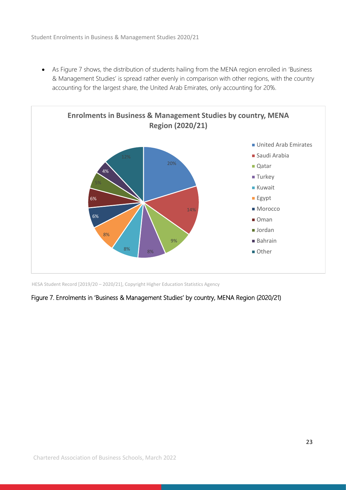• As Figure 7 shows, the distribution of students hailing from the MENA region enrolled in 'Business & Management Studies' is spread rather evenly in comparison with other regions, with the country accounting for the largest share, the United Arab Emirates, only accounting for 20%.



HESA Student Record [2019/20 – 2020/21], Copyright Higher Education Statistics Agency

#### Figure 7. Enrolments in 'Business & Management Studies' by country, MENA Region (2020/21)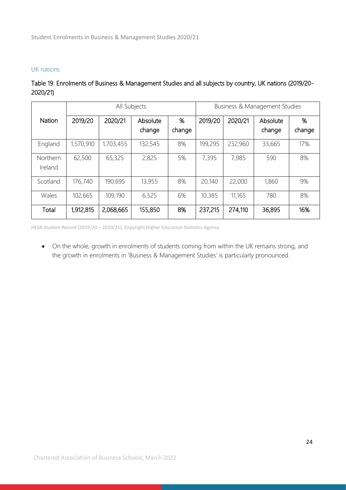## UK nations

## Table 19. Enrolments of Business & Management Studies and all subjects by country, UK nations (2019/20- 2020/21)

|                     | All Subjects |           |                    |             | <b>Business &amp; Management Studies</b> |         |                    |             |
|---------------------|--------------|-----------|--------------------|-------------|------------------------------------------|---------|--------------------|-------------|
| <b>Nation</b>       | 2019/20      | 2020/21   | Absolute<br>change | %<br>change | 2019/20                                  | 2020/21 | Absolute<br>change | %<br>change |
| England             | 1,570,910    | 1,703,455 | 132,545            | 8%          | 199,295                                  | 232,960 | 33,665             | 17%         |
| Northern<br>Ireland | 62,500       | 65,325    | 2,825              | 5%          | 7,395                                    | 7,985   | 590                | 8%          |
| Scotland            | 176,740      | 190,695   | 13,955             | 8%          | 20,140                                   | 22,000  | 1,860              | 9%          |
| Wales               | 102,665      | 109,190   | 6,525              | 6%          | 10,385                                   | 11,165  | 780                | 8%          |
| Total               | 1,912,815    | 2,068,665 | 155,850            | 8%          | 237,215                                  | 274,110 | 36,895             | 16%         |

HESA Student Record [2019/20 – 2020/21], Copyright Higher Education Statistics Agency

• On the whole, growth in enrolments of students coming from within the UK remains strong, and the growth in enrolments in 'Business & Management Studies' is particularly pronounced.